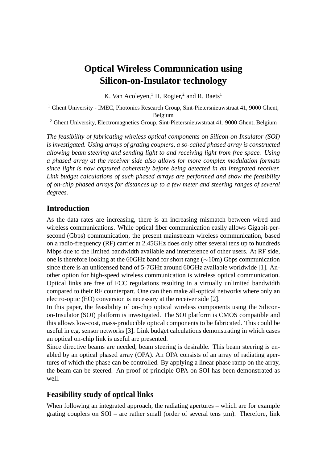# **Optical Wireless Communication using Silicon-on-Insulator technology**

K. Van Acoleyen, <sup>1</sup> H. Rogier, <sup>2</sup> and R. Baets<sup>1</sup>

<sup>1</sup> Ghent University - IMEC, Photonics Research Group, Sint-Pietersnieuwstraat 41, 9000 Ghent, Belgium

<sup>2</sup> Ghent University, Electromagnetics Group, Sint-Pietersnieuwstraat 41, 9000 Ghent, Belgium

*The feasibility of fabricating wireless optical components on Silicon-on-Insulator (SOI) is investigated. Using arrays of grating couplers, a so-called phased array is constructed allowing beam steering and sending light to and receiving light from free space. Using a phased array at the receiver side also allows for more complex modulation formats since light is now captured coherently before being detected in an integrated receiver. Link budget calculations of such phased arrays are performed and show the feasibility of on-chip phased arrays for distances up to a few meter and steering ranges of several degrees.*

#### **Introduction**

As the data rates are increasing, there is an increasing mismatch between wired and wireless communications. While optical fiber communication easily allows Gigabit-persecond (Gbps) communication, the present mainstream wireless communication, based on a radio-frequency (RF) carrier at 2.45GHz does only offer several tens up to hundreds Mbps due to the limited bandwidth available and interference of other users. At RF side, one is therefore looking at the 60GHz band for short range (∼10m) Gbps communication since there is an unlicensed band of 5-7GHz around 60GHz available worldwide [1]. Another option for high-speed wireless communication is wireless optical communication. Optical links are free of FCC regulations resulting in a virtually unlimited bandwidth compared to their RF counterpart. One can then make all-optical networks where only an electro-optic (EO) conversion is necessary at the receiver side [2].

In this paper, the feasibility of on-chip optical wireless components using the Siliconon-Insulator (SOI) platform is investigated. The SOI platform is CMOS compatible and this allows low-cost, mass-producible optical components to be fabricated. This could be useful in e.g. sensor networks [3]. Link budget calculations demonstrating in which cases an optical on-chip link is useful are presented.

Since directive beams are needed, beam steering is desirable. This beam steering is enabled by an optical phased array (OPA). An OPA consists of an array of radiating apertures of which the phase can be controlled. By applying a linear phase ramp on the array, the beam can be steered. An proof-of-principle OPA on SOI has been demonstrated as well.

## **Feasibility study of optical links**

When following an integrated approach, the radiating apertures – which are for example grating couplers on  $SOI$  – are rather small (order of several tens  $\mu$ m). Therefore, link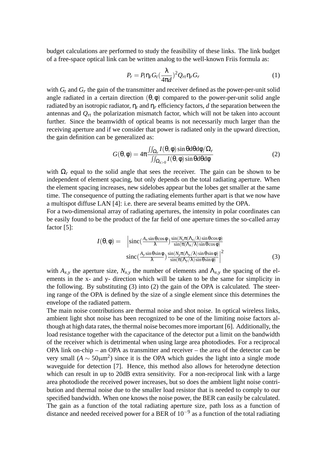budget calculations are performed to study the feasibility of these links. The link budget of a free-space optical link can be written analog to the well-known Friis formula as:

$$
P_r = P_t \eta_t G_t \left(\frac{\lambda}{4\pi d}\right)^2 Q_{rt} \eta_r G_r \tag{1}
$$

with  $G_t$  and  $G_r$  the gain of the transmitter and receiver defined as the power-per-unit solid angle radiated in a certain direction  $(\theta, \phi)$  compared to the power-per-unit solid angle radiated by an isotropic radiator,  $\eta_t$  and  $\eta_r$  efficiency factors, *d* the separation between the antennas and  $Q_{rt}$  the polarization mismatch factor, which will not be taken into account further. Since the beamwidth of optical beams is not necessarily much larger than the receiving aperture and if we consider that power is radiated only in the upward direction, the gain definition can be generalized as:

$$
G(\theta,\phi) = 4\pi \frac{\iint_{\Omega_r} I(\theta,\phi) \sin \theta d\theta d\phi / \Omega_r}{\iint_{\Omega_{z>0}} I(\theta,\phi) \sin \theta d\theta d\phi}
$$
(2)

with  $\Omega_r$  equal to the solid angle that sees the receiver. The gain can be shown to be independent of element spacing, but only depends on the total radiating aperture. When the element spacing increases, new sidelobes appear but the lobes get smaller at the same time. The consequence of putting the radiating elements further apart is that we now have a multispot diffuse LAN [4]: i.e. there are several beams emitted by the OPA.

For a two-dimensional array of radiating apertures, the intensity in polar coordinates can be easily found to be the product of the far field of one aperture times the so-called array factor [5]:

$$
I(\theta,\phi) = \left| \operatorname{sinc}(\frac{A_x \sin \theta \cos \phi}{\lambda}) \frac{\sin(N_x \pi (\Lambda_x/\lambda) \sin \theta \cos \phi)}{\sin(\pi (\Lambda_x/\lambda) \sin \theta \cos \phi)} \right|
$$
  

$$
\operatorname{sinc}(\frac{A_y \sin \theta \sin \phi}{\lambda}) \frac{\sin(N_y \pi (\Lambda_y/\lambda) \sin \theta \sin \phi)}{\sin(\pi (\Lambda_y/\lambda) \sin \theta \sin \phi)} \right|^2
$$
(3)

with  $A_{x,y}$  the aperture size,  $N_{x,y}$  the number of elements and  $\Lambda_{x,y}$  the spacing of the elements in the x- and y- direction which will be taken to be the same for simplicity in the following. By substituting (3) into (2) the gain of the OPA is calculated. The steering range of the OPA is defined by the size of a single element since this determines the envelope of the radiated pattern.

The main noise contributions are thermal noise and shot noise. In optical wireless links, ambient light shot noise has been recognized to be one of the limiting noise factors although at high data rates, the thermal noise becomes more important [6]. Additionally, the load resistance together with the capacitance of the detector put a limit on the bandwidth of the receiver which is detrimental when using large area photodiodes. For a reciprocal OPA link on-chip – an OPA as transmitter and receiver – the area of the detector can be very small ( $A \sim 50 \mu m^2$ ) since it is the OPA which guides the light into a single mode waveguide for detection [7]. Hence, this method also allows for heterodyne detection which can result in up to 20dB extra sensitivity. For a non-reciprocal link with a large area photodiode the received power increases, but so does the ambient light noise contribution and thermal noise due to the smaller load resistor that is needed to comply to our specified bandwidth. When one knows the noise power, the BER can easily be calculated. The gain as a function of the total radiating aperture size, path loss as a function of distance and needed received power for a BER of  $10^{-9}$  as a function of the total radiating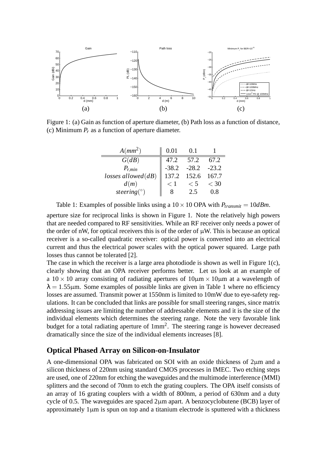

Figure 1: (a) Gain as function of aperture diameter, (b) Path loss as a function of distance, (c) Minimum *P<sup>r</sup>* as a function of aperture diameter.

| $A(mm^2)$               | 0.01    | 0.1     |                  |
|-------------------------|---------|---------|------------------|
| G(dB)                   | 47.2    | 57.2    | 67.2             |
| $P_{r,min}$             | $-38.2$ | $-28.2$ | $-23.2$<br>167.7 |
| $losses$ allowed $(dB)$ | 137.2   | 152.6   |                  |
| d(m)                    | $\lt$ 1 | < 5     | $\lt$ 30         |
| steering( $\circ$ )     |         | 2.5     |                  |

Table 1: Examples of possible links using a  $10 \times 10$  OPA with  $P_{transmit} = 10$ *dBm*.

aperture size for reciprocal links is shown in Figure 1. Note the relatively high powers that are needed compared to RF sensitivities. While an RF receiver only needs a power of the order of nW, for optical receivers this is of the order of  $\mu$ W. This is because an optical receiver is a so-called quadratic receiver: optical power is converted into an electrical current and thus the electrical power scales with the optical power squared. Large path losses thus cannot be tolerated [2].

The case in which the receiver is a large area photodiode is shown as well in Figure 1(c), clearly showing that an OPA receiver performs better. Let us look at an example of a  $10 \times 10$  array consisting of radiating apertures of  $10 \mu m \times 10 \mu m$  at a wavelength of  $\lambda = 1.55$ μm. Some examples of possible links are given in Table 1 where no efficiency losses are assumed. Transmit power at 1550nm is limited to 10mW due to eye-safety regulations. It can be concluded that links are possible for small steering ranges, since matrix addressing issues are limiting the number of addressable elements and it is the size of the individual elements which determines the steering range. Note the very favorable link budget for a total radiating aperture of 1mm<sup>2</sup>. The steering range is however decreased dramatically since the size of the individual elements increases [8].

#### **Optical Phased Array on Silicon-on-Insulator**

A one-dimensional OPA was fabricated on SOI with an oxide thickness of 2µm and a silicon thickness of 220nm using standard CMOS processes in IMEC. Two etching steps are used, one of 220nm for etching the waveguides and the multimode interference (MMI) splitters and the second of 70nm to etch the grating couplers. The OPA itself consists of an array of 16 grating couplers with a width of 800nm, a period of 630nm and a duty cycle of 0.5. The waveguides are spaced  $2\mu$ m apart. A benzocyclobutene (BCB) layer of approximately  $1\mu$ m is spun on top and a titanium electrode is sputtered with a thickness